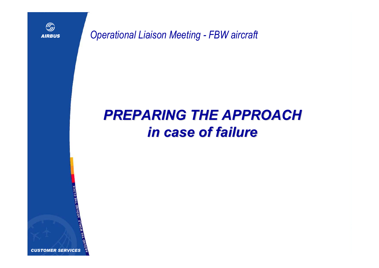

*Operational Liaison Meeting - FBW aircraft*

# *PREPARING THE APPROACH PREPARING THE APPROACHin case of failure in case of failure*

AROUND THE **UND THE WORLD**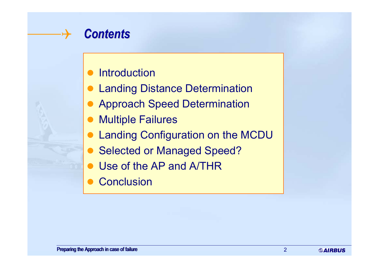

#### $\bullet$ **Introduction**

- $\bullet$ Landing Distance Determination
- $\bullet$ Approach Speed Determination
- $\bullet$ Multiple Failures
- $\bullet$ Landing Configuration on the MCDU
- $\bullet$ Selected or Managed Speed?
- $\bullet$ Use of the AP and A/THR
- $\bullet$ **Conclusion**

2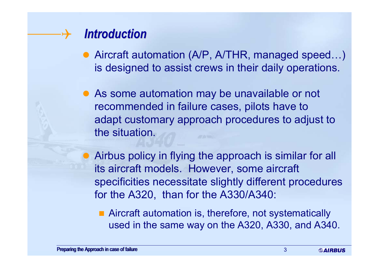### $\boldsymbol{\downarrow}$ *Introduction Introduction*

- Aircraft automation (A/P, A/THR, managed speed... is designed to assist crews in their daily operations.
- As some automation may be unavailable or not recommended in failure cases, pilots have to adapt customary approach procedures to adjust to the situation.
- $\bullet$  Airbus policy in flying the approach is similar for all its aircraft models. However, some aircraft specificities necessitate slightly different procedures for the A320, than for the A330/A340:
	- **Aircraft automation is, therefore, not systematically** used in the same way on the A320, A330, and A340.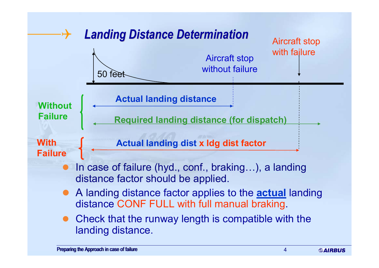

4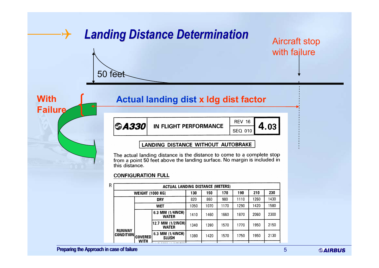

Preparing the Approach in case of failure

5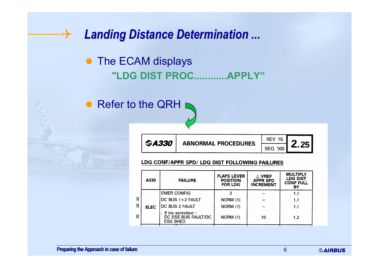#### $\rightarrow$ *Landing Distance Determination ... Landing Distance Determination ...*

• The ECAM displays **"LDG DIST PROC............APPLY"**

• Refer to the QRH



**ABNORMAL PROCEDURES** 



LDG CONF/APPR SPD/ LDG DIST FOLLOWING FAILURES

|  | A330        | <b>FAILURE</b>                                              | <b>FLAPS LEVER</b><br><b>POSITION</b><br><b>FOR LDG</b> | $\triangle$ VREF<br><b>APPR SPD</b><br><b>INCREMENT</b> | <b>MULTIPLY</b><br><b>LDG DIST</b><br><b>CONF FULL</b><br>BΥ |
|--|-------------|-------------------------------------------------------------|---------------------------------------------------------|---------------------------------------------------------|--------------------------------------------------------------|
|  |             | <b>EMER CONFIG</b>                                          |                                                         |                                                         | 1.1                                                          |
|  |             | DC BUS 1+2 FAULT                                            | NORM (1)                                                |                                                         | 1.1                                                          |
|  | <b>ELEC</b> | DC BUS 2 FAULT                                              | <b>NORM (1)</b>                                         |                                                         | 1.1                                                          |
|  |             | If ice accretion:<br>DC ESS BUS FAULT/DC<br><b>ESS SHED</b> | NORM(1)                                                 | 10                                                      | 1.2                                                          |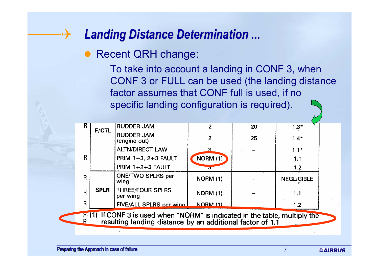### $\boldsymbol{\downarrow}$ *Landing Distance Determination ... Landing Distance Determination ...*

• Recent QRH change:

To take into account a landing in CONF 3, when CONF 3 or FULL can be used (the landing distance factor assumes that CONF full is used, if no specific landing configuration is required).

| $\mathbf{R}$                                                                  | F/CTL       | <b>RUDDER JAM</b>                   | $\overline{2}$  | 20 | $1.3*$            |  |  |
|-------------------------------------------------------------------------------|-------------|-------------------------------------|-----------------|----|-------------------|--|--|
|                                                                               |             | <b>RUDDER JAM</b><br>(engine out)   | $\overline{2}$  | 25 | $1.4*$            |  |  |
|                                                                               |             | <b>ALTN/DIRECT LAW</b>              | 3               |    | $1.1*$            |  |  |
| R                                                                             |             | <b>PRIM 1+3, 2+3 FAULT</b>          | NORM (1)        |    | 1.1               |  |  |
|                                                                               |             | $PRIM$ 1+2+3 $FAULT$                |                 |    | 1.2               |  |  |
| $\mathsf{R}$                                                                  |             | <b>ONE/TWO SPLRS per</b><br>wing    | NORM (1)        |    | <b>NEGLIGIBLE</b> |  |  |
| $\overline{B}$                                                                | <b>SPLR</b> | <b>THREE/FOUR SPLRS</b><br>per wing | <b>NORM (1)</b> |    | 1.1               |  |  |
| R                                                                             |             | FIVE/ALL SPLRS per wing             | <b>NORM (1)</b> |    | 1.2               |  |  |
| If CONF 3 is used when "NORM" is indicated in the table, multiply the<br>R(1) |             |                                     |                 |    |                   |  |  |
| resulting landing distance by an additional factor of 1.1                     |             |                                     |                 |    |                   |  |  |

–

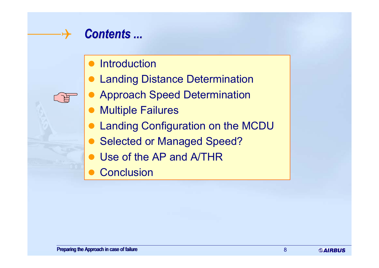

- $\bullet$ **Introduction**
- **Landing Distance Determination**
- $\bullet$ Approach Speed Determination
- $\bullet$ Multiple Failures
- **Landing Configuration on the MCDU**
- Selected or Managed Speed?
- $\bullet$ Use of the AP and A/THR
- $\bullet$ **Conclusion**

8

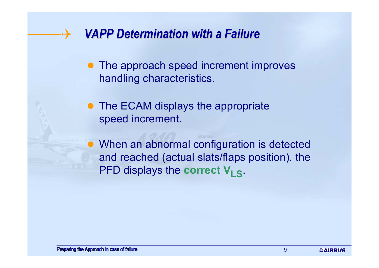- The approach speed increment improves handling characteristics.
- The ECAM displays the appropriate speed increment.
- When an abnormal configuration is detected and reached (actual slats/flaps position), the PFD displays the **correct** V<sub>LS</sub>.

9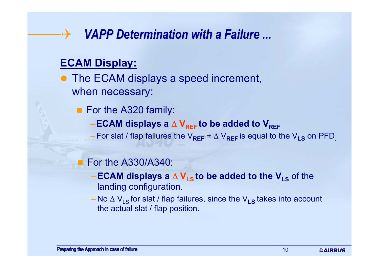## **ECAM Display:**

• The ECAM displays a speed increment, when necessary:

■ For the A320 family:

–**ECAM displays a** ∆ **VREF to be added to VREF**

 $-$  For slat / flap failures the V<sub>REF</sub> + ∆ V<sub>REF</sub> is equal to the V<sub>LS</sub> on PFD<sub>.</sub>

### **For the A330/A340:**

- –**ECAM displays a** <sup>∆</sup> **VLS to be added to the VLS** of the landing configuration.
- No ∆ V<sub>LS</sub> for slat / flap failures, since the V<sub>LS</sub> takes into account the actual slat / flap position.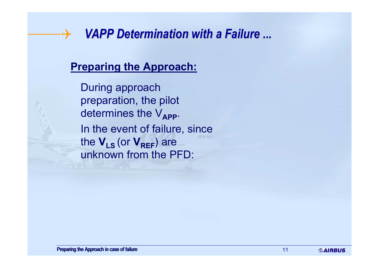## **Preparing the Approach:**

During approach preparation, the pilot determines the V<sub>APP</sub>. In the event of failure, since the  $\mathbf{V}_{\mathsf{LS}}$  (or  $\mathbf{V}_{\mathsf{REF}}$ ) are unknown from the PFD: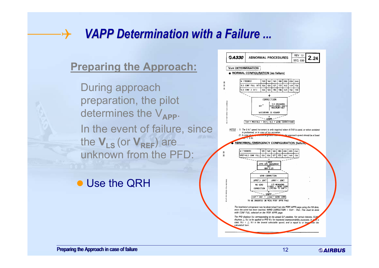## **Preparing the Approach:**

During approach preparation, the pilot determines the V<sub>APP</sub>. In the event of failure, since the  $V_{LS}$  (or  $V_{REF}$ ) are unknown from the PFD

## • Use the QRH

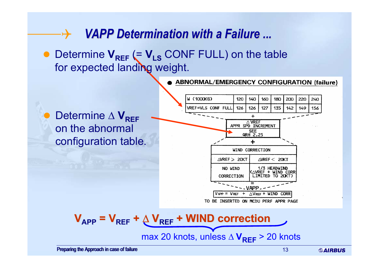• Determine  $V_{REF}$  (=  $V_{LS}$  CONF FULL) on the table for expected landing weight.

**ABNORMAL/EMERGENCY CONFIGURATION (failure)** W (1000KG) 200 240 120 140 160 180 220 VREF=VLS CONF FULL 126 126 127 135 142 149 156 Determine ∆ **V<sub>RFF</sub>**  $\bullet$  $\triangle$  VREF APPR SPD INCREMENT on the abnormal **SEE** QRH 2.25 configuration table. WIND CORRECTION  $\triangle$ VREF  $\geqslant$  20KT  $\triangle$ WREF < 20KT 1/3 HEADWIND NO WIND  $\triangle$ VREF + WIND CORR CORRECTION -VAPP- $V_{APP} = V_{REF} + \triangle V_{REF} + WIND$  CORR TO BE INSERTED ON MCDU PERF APPR PAGE

**VAPP = VREF <sup>+</sup>**<sup>∆</sup> **VREF + WIND correction + WIND correction** max 20 knots, unless ∆ **V<sub>REF</sub> >** 20 knots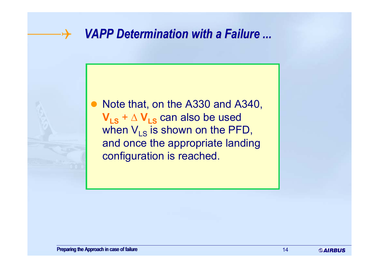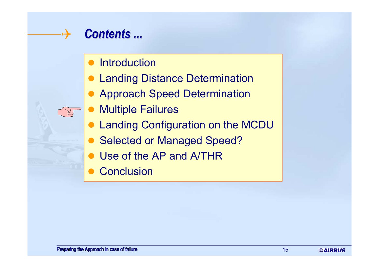

- $\bullet$ **Introduction**
- **Landing Distance Determination**
- $\bullet$ Approach Speed Determination
- $\bullet$ Multiple Failures
- **Landing Configuration on the MCDU**
- $\bullet$ Selected or Managed Speed?
- $\bullet$ Use of the AP and A/THR
- $\bullet$ **Conclusion**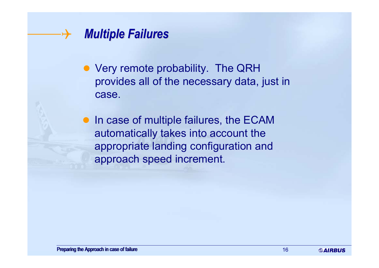

• Very remote probability. The QRH provides all of the necessary data, just in case.

• In case of multiple failures, the ECAM automatically takes into account the appropriate landing configuration and approach speed increment.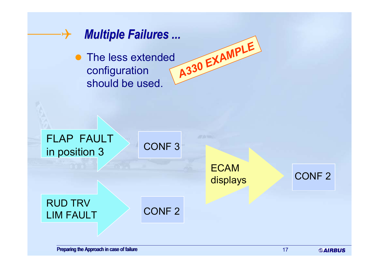#### $\rightarrow$ *Multiple Failures ... Multiple Failures ...*

• The less extended<br>
configuration<br>
A<sup>330</sup> EXAMPLE should be used.

## FLAP FAULT  $\frac{12.4}{100}$  CONF 3

ECAMdisplays CONF 2

## RUD TRVLIM FAULT

CONF 2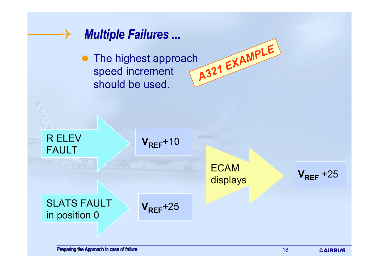

• The highest approach speed increment should be used.*A321 EXAMPLE*



**VREF**+10

ECAM

displays **V**<sub>REF</sub> +25

## SLATS FAULTin position 0

 $V_{REF}$ +25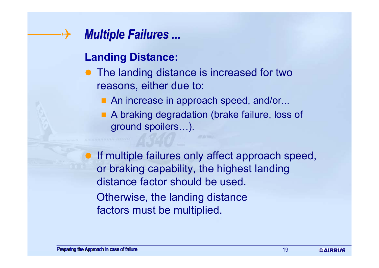

 $\boldsymbol{\downarrow}$ 

## **Landing Distance:**

- The landing distance is increased for two reasons, either due to:
	- An increase in approach speed, and/or...
	- A braking degradation (brake failure, loss of ground spoilers…).
- $\bullet$  If multiple failures only affect approach speed, or braking capability, the highest landing distance factor should be used. Otherwise, the landing distance factors must be multiplied.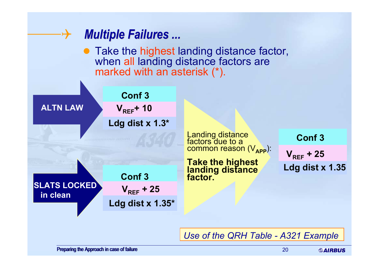

*Use of the QRH Table - A321 Example*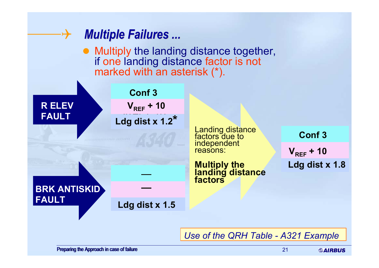## 4 *Multiple Failures ... Multiple Failures ...*

 $\bullet$  Multiply the landing distance together, if one landing distance factor is not marked with an asterisk (\*).

**R ELEV FAULT**

## Vref + 10 **Ldg dist x 1.2\* Conf 3VREF + 10**

Landing distance<br>factors due to independent reasons:

**Multiply the landing distance factors** 

**Conf 3VREF + 10 Ldg dist x 1.8**

### **BRK ANTISKID FAULT**

### **Ldg dist x 1.5**

*Use of the QRH Table - A321 Example*

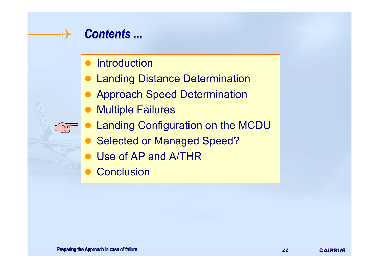

- **•** Introduction
- **Landing Distance Determination**
- $\bullet$ Approach Speed Determination
- $\bullet$ Multiple Failures
- $\bullet$ Landing Configuration on the MCDU
- $\bullet$ Selected or Managed Speed?
- $\bullet$ Use of AP and A/THR
- $\bullet$ **Conclusion**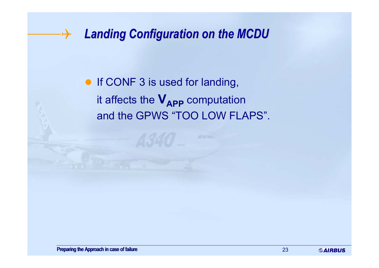# 4 *Landing Configuration on the MCDU Landing Configuration on the MCDU*

**• If CONF 3 is used for landing,** it affects the  $\mathbf{V}_{\mathbf{APP}}$  computation and the GPWS "TOO LOW FLAPS".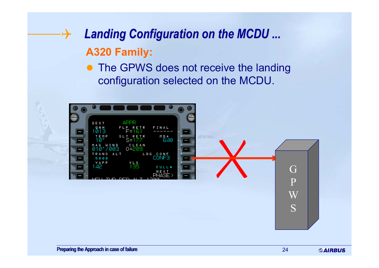## $\rightarrow$ *Landing Configuration on the MCDU ... Landing Configuration on the MCDU ...* **A320 Family:**

• The GPWS does not receive the landing configuration selected on the MCDU.

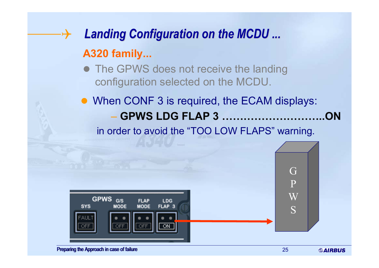## $\boldsymbol{\downarrow}$ *Landing Configuration on the MCDU ... Landing Configuration on the MCDU ...* **A320 family...**

**• The GPWS does not receive the landing** configuration selected on the MCDU.

• When CONF 3 is required, the ECAM displays: **GPWS LDG FLAP 3 ………………………..ON**in order to avoid the "TOO LOW FLAPS" warning.

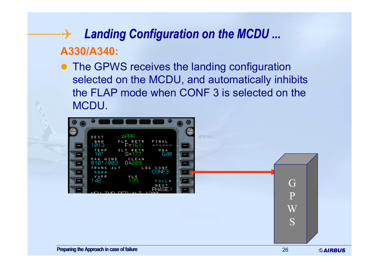### $\rightarrow$ *Landing Configuration on the MCDU ... Landing Configuration on the MCDU ...* **A330/A340:**

• The GPWS receives the landing configuration selected on the MCDU, and automatically inhibits the FLAP mode when CONF 3 is selected on the MCDU.

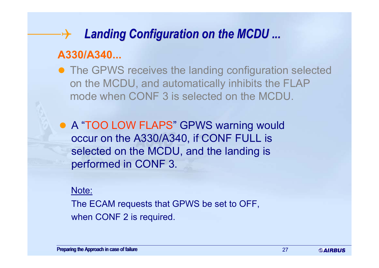# 4*Landing Configuration on the MCDU ... Landing Configuration on the MCDU ...*

## **A330/A340...**

- The GPWS receives the landing configuration selected on the MCDU, and automatically inhibits the FLAP mode when CONF 3 is selected on the MCDU.
- A "TOO LOW FLAPS" GPWS warning would occur on the A330/A340, if CONF FULL is selected on the MCDU, and the landing is performed in CONF 3.

### Note:

The ECAM requests that GPWS be set to OFF, when CONF 2 is required.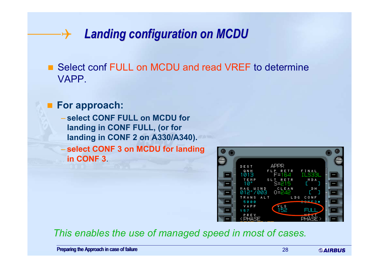### $\rightarrow$ *Landing configuration on MCDU Landing configuration on MCDU*

■ Select conf FULL on MCDU and read VREF to determine VAPP.

### **For approach:**

- **select CONF FULL on MCDU for landing in CONF FULL, (or for landing in CONF 2 on A330/A340).**
- **select CONF 3 on MCDU for landing in CONF 3**.



### *This enables the use of managed speed in most of cases.*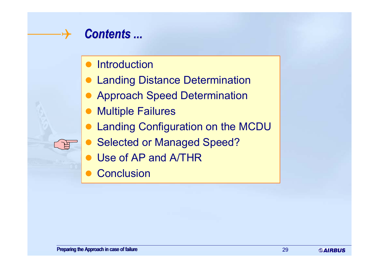

- $\bullet$ **Introduction**
- **Landing Distance Determination**
- $\bullet$ Approach Speed Determination
- $\bullet$ **Multiple Failures**
- **Landing Configuration on the MCDU**
- $\bullet$ Selected or Managed Speed?
- $\bullet$ Use of AP and A/THR
- $\bullet$ **Conclusion**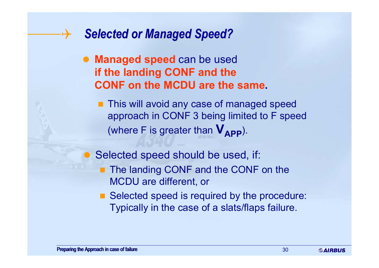#### $\boldsymbol{\downarrow}$ *Selected or Managed Speed? Selected or Managed Speed?*

**• Managed speed** can be used **if the landing CONF and the CONF on the MCDU are the same.**

**This will avoid any case of managed speed** approach in CONF 3 being limited to F speed (where F is greater than  $V_{\mathbf{\Delta PP}}$ ).

 $\bullet$ Selected speed should be used, if:

- The landing CONF and the CONF on the MCDU are different, or
	- Selected speed is required by the procedure: Typically in the case of a slats/flaps failure.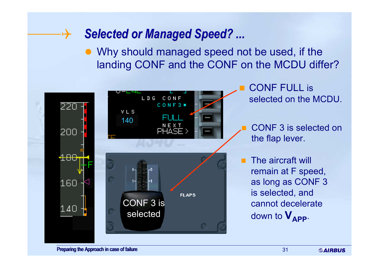# *Selected or Managed Speed? ... Selected or Managed Speed? ...*

• Why should managed speed not be used, if the landing CONF and the CONF on the MCDU differ?



 $\boldsymbol{\downarrow}$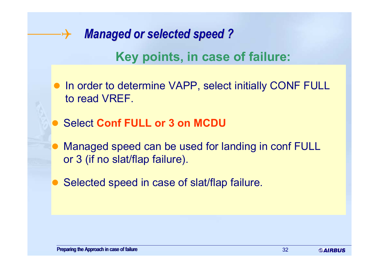$\rightarrow$ **Key points, in case of failure:** *Managed or selected speed ? Managed or selected speed ?*

- **In order to determine VAPP, select initially CONF FULL** to read VREF.
- $\bullet$ Select **Conf FULL or 3 on MCDU**
- $\bullet$  Managed speed can be used for landing in conf FULL or 3 (if no slat/flap failure).
- $\bullet$ Selected speed in case of slat/flap failure.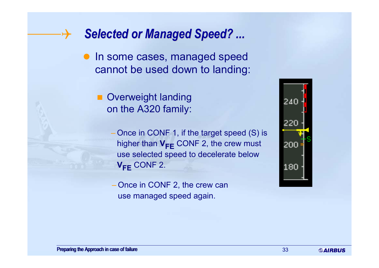*Selected or Managed Speed? ... Selected or Managed Speed? ...*

**• In some cases, managed speed** cannot be used down to landing:

**D** Overweight landing on the A320 family:

> Once in CONF 1, if the target speed (S) is higher than  $\mathsf{V}_{\mathsf{FE}}$  CONF 2, the crew must use selected speed to decelerate below **VFE** CONF 2.

 Once in CONF 2, the crew can use managed speed again.



 $\boldsymbol{\downarrow}$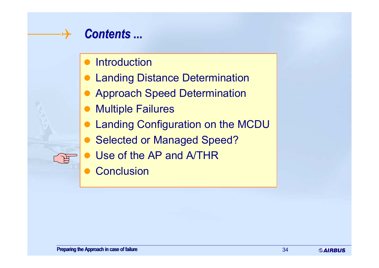

- $\bullet$ **Introduction**
- **Landing Distance Determination**
- $\bullet$ Approach Speed Determination
- $\bullet$ Multiple Failures
- **Landing Configuration on the MCDU**
- $\bullet$ Selected or Managed Speed?
- $\bullet$ Use of the AP and A/THR
- $\bullet$ **Conclusion**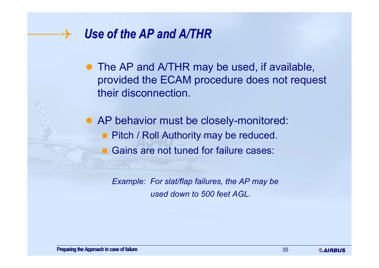### $\boldsymbol{\downarrow}$ *Use of the AP and A/THR Use of the AP and A/THR*

• The AP and A/THR may be used, if available, provided the ECAM procedure does not request their disconnection.

• AP behavior must be closely-monitored: **Pitch / Roll Authority may be reduced.** Gains are not tuned for failure cases:

> *Example: For slat/flap failures, the AP may be used down to 500 feet AGL.*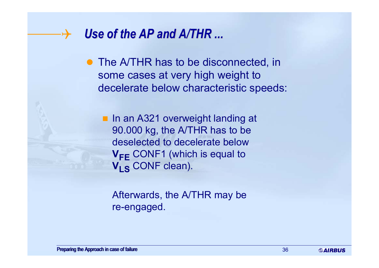### $\boldsymbol{\downarrow}$ *Use of the AP and A/THR ... Use of the AP and A/THR ...*

• The A/THR has to be disconnected, in some cases at very high weight to decelerate below characteristic speeds:

■ In an A321 overweight landing at 90.000 kg, the A/THR has to be deselected to decelerate below **V<sub>FE</sub> CONF1 (which is equal to VLS** CONF clean).

Afterwards, the A/THR may be re-engaged.